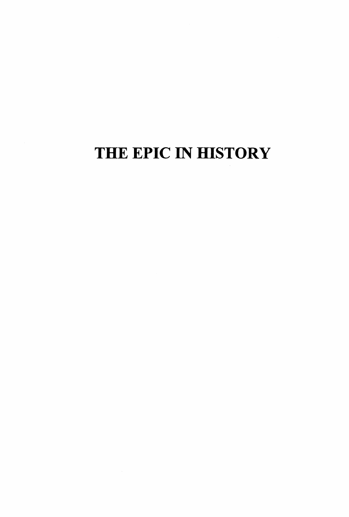# THE EPIC IN HISTORY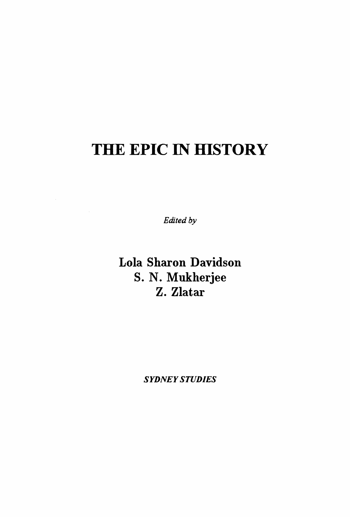## THE EPIC IN HISTORY

*Edited by* 

Lola Sharon Davidson S. N. Mukherjee Z. Zlatar

*SYDNEY STUDIES*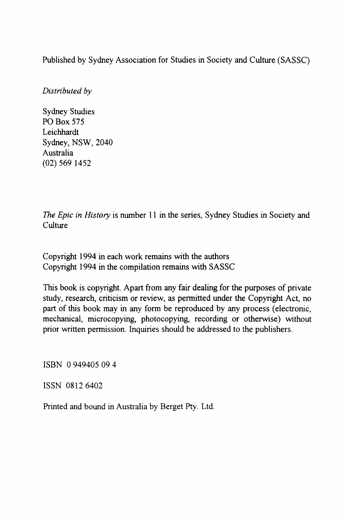Published by Sydney Association for Studies in Society and Culture (SASSC)

*Distributed by* 

Sydney Studies PO Box 575 Leichhardt Sydney, NSW, 2040 Australia (02) 569 1452

*The Epic in History* is nwnber 11 in the series, Sydney Studies in Society and **Culture** 

Copyright 1994 in each work remains with the authors Copyright 1994 in the compilation remains with SASSC

This book is copyright. Apart from any fair dealing for the purposes of private study, research, criticism or review, as permitted under the Copyright Act, no part of this book may in any form be reproduced by any process (electronic, mechanical, microcopying, photocopying, recording or otherwise) without prior written permission. Inquiries should be addressed to the publishers.

ISBN 0 949405 09 4

ISSN 0812 6402

Printed and bound in Australia by Berget Pty. Ltd.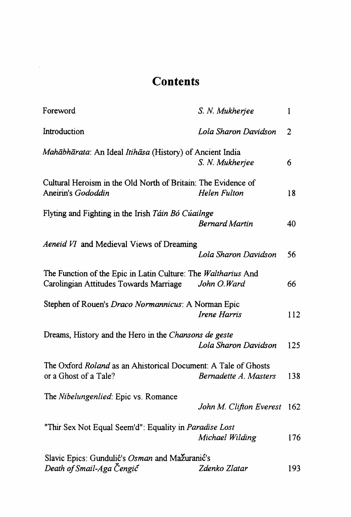### **Contents**

 $\mathcal{L}_{\text{max}}$  .

| Foreword                                                                                                | S. N. Mukherjee         | 1   |
|---------------------------------------------------------------------------------------------------------|-------------------------|-----|
| Introduction                                                                                            | Lola Sharon Davidson    | 2   |
| Mahābhārata: An Ideal Itihāsa (History) of Ancient India                                                | S. N. Mukherjee         | 6   |
| Cultural Heroism in the Old North of Britain: The Evidence of<br>Aneirin's Gododdin                     | Helen Fulton            | 18  |
| Flyting and Fighting in the Irish Táin Bó Cúailnge                                                      | <b>Bernard Martin</b>   | 40  |
| Aeneid VI and Medieval Views of Dreaming                                                                | Lola Sharon Davidson    | 56  |
| The Function of the Epic in Latin Culture: The Waltharius And<br>Carolingian Attitudes Towards Marriage | John O.Ward             | 66  |
| Stephen of Rouen's Draco Normannicus: A Norman Epic                                                     | Irene Harris            | 112 |
| Dreams, History and the Hero in the Chansons de geste                                                   | Lola Sharon Davidson    | 125 |
| The Oxford Roland as an Ahistorical Document: A Tale of Ghosts<br>or a Ghost of a Tale?                 | Bernadette A. Masters   | 138 |
| The Nibelungenlied: Epic vs. Romance                                                                    | John M. Clifton Everest | 162 |
| "Thir Sex Not Equal Seem'd": Equality in Paradise Lost                                                  | Michael Wilding         | 176 |
| Slavic Epics: Gundulić's Osman and Mažuranić's<br>Death of Smail-Aga Cengic                             | Zdenko Zlatar           | 193 |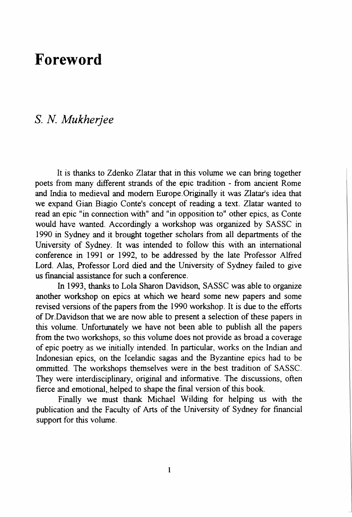### **Foreword**

#### *S. N Mukherjee*

It is thanks to Zdenko Zlatar that in this volume we can bring together poets from many different strands of the epic tradition - from ancient Rome and India to medieval and modern Europe.Originally it was Zlatar's idea that we expand Gian Biagio Conte's concept of reading a text. Zlatar wanted to read an epic "in connection with" and "in opposition to" other epics, as Conte would have wanted. Accordingly a workshop was organized by SASSC in 1990 in Sydney and it brought together scholars from all departments of the University of Sydney. It was intended to follow this with an international conference in 1991 or 1992, to be addressed by the late Professor Alfred Lord. Alas, Professor Lord died and the University of Sydney failed to give us fmancial assistance for such a conference.

In 1993, thanks to Lola Sharon Davidson, SASSC was able to organize another workshop on epics at which we heard some new papers and some revised versions of the papers from the 1990 workshop. It is due to the efforts of Dr.Davidson that we are now able to present a selection of these papers in this volume. Unfortunately we have not been able to publish all the papers from the two workshops, so this volume does not provide as broad a coverage of epic poetry as we initially intended. In particular, works on the Indian and Indonesian epics, on the Icelandic sagas and the Byzantine epics had to be ommitted. The workshops themselves were in the best tradition of SASSC. They were interdisciplinary, original and informative. The discussions, often fierce and emotional, helped to shape the final version of this book.

Finally we must thank Michael Wilding for helping us with the publication and the Faculty of Arts of the University of Sydney for fmancial support for this volume.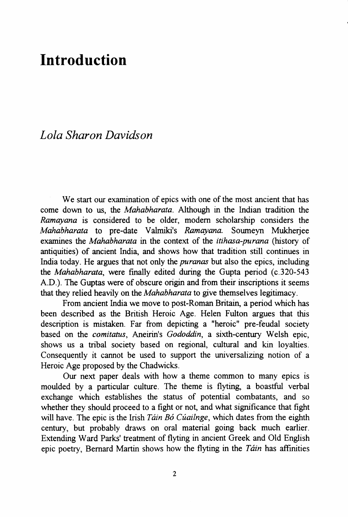### **Introduction**

#### *Lola Sharon Davidson*

We start our examination of epics with one of the most ancient that has come down to us, the *Mahabharata.* Although in the Indian tradition the *Ramayana* is considered to be older, modem scholarship considers the *Mahabharata* to pre-date Valmiki's *Ramayana.* Soumeyn Mukherjee examines the *Mahabharata* in the context of the *itihasa-purana* (history of antiquities) of ancient India, and shows how that tradition still continues in India today. He argues that not only the *puranas* but also the epics, including the *Mahabharata,* were finally edited during the Gupta period (c.320-543 A.D.). The Guptas were of obscure origin and from their inscriptions it seems that they relied heavily on the *Mahabharata* to give themselves legitimacy.

From ancient India we move to post-Roman Britain, a period which has been described as the British Heroic Age. Helen Fulton argues that this description is mistaken. Far from depicting a "heroic" pre-feudal society based on the *comitatus,* Aneirin's *Gododdin,* a sixth-century Welsh epic, shows us a tribal society based on regional, cultural and kin loyalties. Consequently it cannot be used to support the universalizing notion of a Heroic Age proposed by the Chadwicks.

Our next paper deals with how a theme common to many epics is moulded by a particular culture. The theme is flyting, a boastful verbal exchange which establishes the status of potential combatants, and so whether they should proceed to a fight or not, and what significance that fight will have. The epic is the Irish *Táin Bó Cúailnge*, which dates from the eighth century, but probably draws on oral material going back much earlier. Extending Ward Parks' treatment of flyting in ancient Greek and Old English epic poetry, Bernard Martin shows how the flyting in the *Tain* has affmities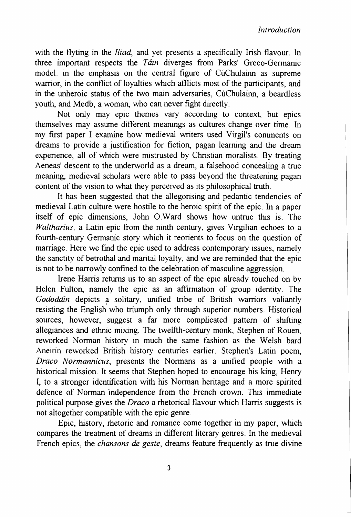*Introduction* 

with the flyting in the *Iliad,* and yet presents a specifically Irish flavour. In three important respects the *Tain* diverges from Parks' Greco-Germanic model: in the emphasis on the central figure of CuChulainn as supreme warrior, in the conflict of loyalties which afflicts most of the participants, and in the unheroic status of the two main adversaries, CuChulainn, a beardless youth, and Medb, a woman, who can never fight directly.

Not only may epic themes vary according to context, but epics themselves may assume different meanings as cultures change over time. In my first paper I examine how medieval writers used Virgil's comments on dreams to provide a justification for fiction, pagan learning and the dream experience, all of which were mistrusted by Christian moralists. By treating Aeneas' descent to the underworld as a dream, a falsehood concealing a true meaning, medieval scholars were able to pass beyond the threatening pagan content of the vision to what they perceived as its philosophical truth.

It has been suggested that the allegorising and pedantic tendencies of medieval Latin culture were hostile to the heroic spirit of the epic. In a paper itself of epic dimensions, John O.Ward shows how untrue this is. The *Waltharius,* a Latin epic from the ninth century, gives Virgilian echoes to a fourth-century Germanic story which it reorients to focus on the question of marriage. Here we find the epic used to address contemporary issues, namely the sanctity of betrothal and marital loyalty, and we are reminded that the epic is not to be narrowly confmed to the celebration of masculine aggression.

Irene Harris returns us to an aspect of the epic already touched on by Helen Fulton, namely the epic as an affirmation of group identity. The Gododdin depicts a solitary, unified tribe of British warriors valiantly resisting the English who triumph only through superior numbers. Historical sources, however, suggest a far more complicated pattern of shifting allegiances and ethnic mixing. The twelfth-century monk, Stephen of Rouen, reworked Norman history in much the same fashion as the Welsh bard Aneirin reworked British history centuries earlier. Stephen's Latin poem, *Draco Normannicus,* presents the Normans as a unified people with a historical mission. It seems that Stephen hoped to encourage his king, Henry I, to a stronger identification with his Norman heritage and a more spirited defence of Norman "independence from the French crown. This immediate political purpose gives the *Draco* a rhetorical flavour which Harris suggests is not altogether compatible with the epic genre.

Epic, history, rhetoric and romance come together in my paper, which compares the treatment of dreams in different literary genres. In the medieval French epics, the *chansons* de *geste,* dreams feature frequently as true divine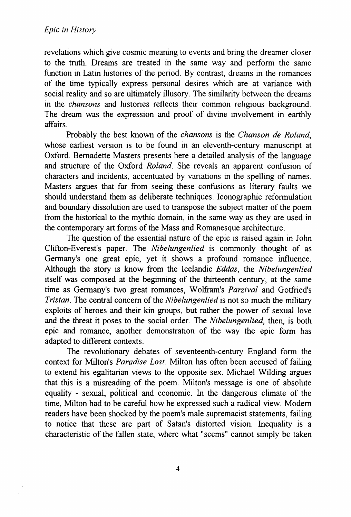revelations which give cosmic meaning to events and bring the dreamer closer to the truth. Dreams are treated in the same way and perform the same function in Latin histories of the period. By contrast, dreams in the romances of the time typically express personal desires which are at variance with social reality and so are ultimately illusory. The similarity between the dreams in the *chansons* and histories reflects their common religious background. The dream was the expression and proof of divine involvement in earthly affairs.

Probably the best known of the *chansons* is the *Chanson* de *Roland,*  whose earliest version is to be found in an eleventh-century manuscript at Oxford. Bernadette Masters presents here a detailed analysis of the language and structure of the Oxford *Roland.* She reveals an apparent confusion of characters and incidents, accentuated by variations in the spelling of names. Masters argues that far from seeing these confusions as literary faults we should understand them as deliberate techniques. Iconographic reformulation and boundary dissolution are used to transpose the subject matter of the poem from the historical to the mythic domain, in the same way as they are used in the contemporary art forms of the Mass and Romanesque architecture.

The question of the essential nature of the epic is raised again in John Clifton-Everest's paper. The *Nibelungenlied* is commonly thought of as Germany's one great epic, yet it shows a profound romance influence. Although the story is know from the Icelandic *Eddas,* the *Nibelungenlied*  itself was composed at the beginning of the thirteenth century, at the same time as Germany's two great romances, Wolfram's *Parzival* and Gotfried's *Tristan.* The central concern of the *Nibelungenlied* is not so much the military exploits of heroes and their kin groups, but rather the power of sexual love and the threat it poses to the social order. The *Nibelungenlied,* then, is both epic and romance, another demonstration of the way the epic form has adapted to different contexts.

The revolutionary debates of seventeenth-century England form the context for Milton's *Paradise Lost.* Milton has often been accused of failing to extend his egalitarian views to the opposite sex. Michael Wilding argues that this is a misreading of the poem. Milton's message is one of absolute equality - sexual, political and economic. In the dangerous climate of the time, Milton had to be careful how he expressed such a radical view. Modern readers have been shocked by the poem's male supremacist statements, failing to notice that these are part of Satan's distorted vision. Inequality is a characteristic of the fallen state, where what "seems" cannot simply be taken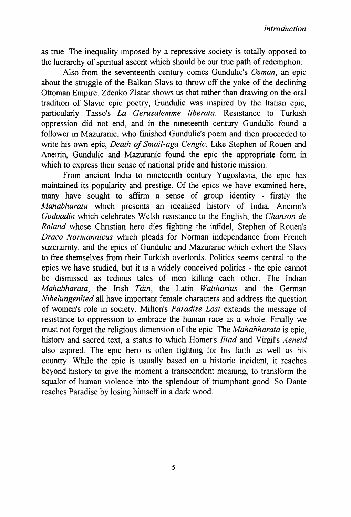as true. The inequality imposed by a repressive society is totally opposed to the hierarchy of spiritual ascent which should be our true path of redemption.

Also from the seventeenth century comes Gundulic's *Osman,* an epic about the struggle of the Balkan Slavs to throw off the yoke of the declining Ottoman Empire. Zdenko Zlatar shows us that rather than drawing on the oral tradition of Slavic epic poetry, Gundulic was inspired by the Italian epic, particularly Tasso's *La Gerusalemme liberata.* Resistance to Turkish oppression did not end, and in the nineteenth century Gundulic found a follower in Mazuranic, who finished Gundulic's poem and then proceeded to write his own epic, *Death of Smail-aga Cengic.* Like Stephen of Rouen and Aneirin, Gundulic and Mazuranic found the epic the appropriate form in which to express their sense of national pride and historic mission.

From ancient India to nineteenth century Yugoslavia, the epic has maintained its popularity and prestige. Of the epics we have examined here, many have sought to affirm a sense of group identity - firstly the *Mahabharata* which presents an idealised history of India, Aneirin's *Gododdin* which celebrates Welsh resistance to the English, the *Chanson de Roland* whose Christian hero dies fighting the infidel, Stephen of Rouen's *Draco Normannicus* which pleads for Norman independance from French suzerainity, and the epics of Gundulic and Mazuranic which exhort the Slavs to free themselves from their Turkish overlords. Politics seems central to the epics we have studied, but it is a widely conceived politics - the epic cannot be dismissed as tedious tales of men killing each other. The Indian *Mahabharata,* the Irish *Tain,* the Latin *Waltharius* and the German *Nibelungenlied* all have important female characters and address the question of women's role in society. Milton's *Paradise Lost* extends the message of resistance to oppression to embrace the human race as a whole. Finally we must not forget the religious dimension of the epic. The *Mahabharata* is epic, history and sacred text, a status to which Homer's *Iliad* and Virgil's *Aeneid*  also aspired. The epic hero is often fighting for his faith as well as his country. While the epic is usually based on a historic incident, it reaches beyond history to give the moment a transcendent meaning, to transform the squalor of human violence into the splendour of triumphant good. So Dante reaches Paradise by losing himself in a dark wood.